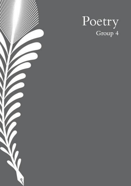

# Poetry<br>Group 4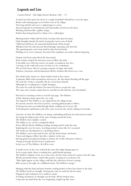# Legends and Lies

Carmel School - Elsa High School, Berman, Orly - 15

A stolen key that opens the doors to a single bookshelf. Should have seen the signs, Books with missing pages never before seen in his village, Not long until his tale too is a ripped page in a story. Ancient legends of enchantments and immortality sit between the lines, Wanting attention like a gallery image, Rather than being burned in a flame of so-called glory.

Burning leather whips slash his back, leaving welts upon his spine, Dark thoughts intrude his mind, leaving the sweet scent of death. "Half man half beast, the immortal hybrid feeds off the living" Whispers from his subconscious flood though, repeating only that line. The agonising pain won't stop until he takes his last breath, Holding on to every moment, the trial of his expulsion was made without forgiving.

Despair and Desiccation flood the desert land, Siren sounds compel the lonesome man to follow the path. A deceitful cave will soon remove its masks, revealing its true face. Carvings on the walls tell secrets of what is to be contraband. The air feels heavy, like it's carrying centuries of anger and wrath. Artefacts, Literature and Enchantments fill the chamber like flowers in a vase.

His whole body, drawn to a dusty leather book in the corner, A grimoire filled with incantations and sorcery, the ink almost bleeding off the page. He reads the words so naturally, like he wrote them himself. Although he is nothing but a simple foreigner, The more he reads the harder it becomes for him to escape the cage. The same siren sounds compel him to read like he did with the secret bookshelf.

His head is screaming at him to read the last page. The Hollow.

A blue shimmer shines upon the cave wall,

The legend of The Hollow is one ripped from the village books,

An ancient ancestor who fed on power, caressing gifted people to follow.

It had grown more powerful through death, sending out its secret call,

Terrorising the unfortunate souls who came across its tale, slowly sinking in its hooks.

Unaware of what The Hollow was doing, embedding itself into his subconscious mind Accessing the darkest parts of his soul, twisting around his heart, The Hollow had complete control. The ability to see, yet he's completely blind, Power fills his blood, bubbling, boiling, bursting and it's only the start. Exploring the cave for more, searching around corners like he's on patrol. The books are shouting but its a deafening silence, The Hollow won't stop until it's free, the fire burns hotter and hotter. Terror and disgrace follow him like a shadow in the sun. Having gained enough knowledge to destroy the world with great violence, Trying to breathe but his head is underwater. In the eyes of The Hollow, all will be won.

A small crevice in the cave wall had the same blue light shining upon it, As he creeps inside, there is nothing but a gold framed painting. The Hollow whispers in his ear to stay away, but for some reason he cannot resist the urge, Words around the frame, written like poetry. Leaning in to read just a bit. "Blue lights appear on the village walls like the reflection of heavy raining, Kids scream at the sight of a childhood myth, The Hollow's merge".

Merging with the kind and pure hearted, stealing bodies to then leave them in the dust, The Hollow feeds on strength. Nearing the end, he reads the last two lines. Disgusted with realisation, he's unable to stand, A feeling of betrayal, he thought was his fault. All the broken trust. Crept into his mind from the very beginning, tangled up like vines,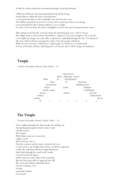If only he could confront his unwanted passenger as his final demand.

"Half man half beast, the immortal hybrid feeds off the living, Death follows within the hour of his fatal bite". I am haunted by these words, hopefully I am safe from the curse The Hollow promised me power in return, but it took more than it was giving. I am surrounded by this constant darkness, I see no light, It's claws were too deep, the more I struggled to survive the more the pain became worse.

After taking my last breath, I am free from the agonising pain now, ready to let go. My village needs a saviour from The Hollow's exigency, I lack the strength to do so myself, I can't fight any longer, my soul is like a supernova, exploding through the sky. I'm shattered. My story will be left here amongst the others. One day people will know. With my soul now free, I will not be a ripped page in a book on a crowded shelf, A sense of freedom. Slowly collecting pieces of my past self, I will no longer be shattered.

## Temple

Creative Secondary School, Chan,  $Rody - 15$ 

|                   |    | Calm breeze <sup>-</sup> |            |               |             |
|-------------------|----|--------------------------|------------|---------------|-------------|
|                   |    | Pain? Suffering? Greed?  |            |               |             |
| Must              | be | Relinquished             |            |               |             |
| Abyss             |    | of                       |            | Emotions      |             |
| Incantations      |    |                          |            | Enlightenment |             |
| Namu              |    | amida                    |            | Daibutsu      |             |
| Gently empty      |    |                          | confiNmind |               |             |
| destroy           |    | demon                    |            |               | deviants    |
| destroy           |    |                          |            |               | kleptomania |
| destroy           |    |                          |            |               | deceit      |
| $\mathbf{i}$<br>N | r  | $\mathbf{V}$             | a          | $\mathbf n$   | a.          |

## The Temple

Creative Secondary School, Chard, Chloe - 15

From walking through the desert under the sizzling sun And pushing through the harsh winter winds I finally reach it The temple With blisters and cuts on my skin I light a torch And crawl my way in Past the creatures and the many crystals in the cave I come across a ray of light from where a symbol is engraved I strike the wall from which the light illuminates And climb through the small crack I made I crawl towards the figure Of the man sat on the edge of the mountain But my body goes stiff as I approach the cliff. My vision goes blurry and finally black On the mountain, I lie A body motionless, lifeless On its back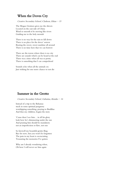## When the Doves Cry

Creative Secondary School, Clarkson, Ethan  $-15$ 

The Mogao Grottoes gives me the shivers Located on the east side of China Wind so smooth it be moving like rivers Guiding me to the holy messiah

There is no way for the rain to fall down There is no place for the doves' sorrow Bearing the sweet, sweet sunshine all around There is no time here that we can borrow

There are the towns where there is no city There are sounds which can be heard at the end There was a time when all was so pretty There is something that I can comprehend

Sounds echo when all the animals cry Just wishing for one more chance to not die

## Summer in the Grotto

Creative Secondary School, Gabutina, Kimiko - 16

Instead of a trip to the Bahamas stuck in some spiritual purgatory worshipping something, praying to Buddhas And thus my children, begins the story

'Cause then I see him… in all his glory look how he's shimmering under the sun And praising him should be mandatory not an imperfection or flaw, not one

So farewell my beautiful grotto fling Bye for now, but you won't be forgotten The pain in my heart is excruciating Treasuring the memories I've gotten

Why am I already wondering when, Oh how I will never see him again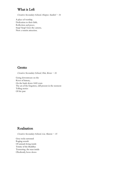# What is Left

Creative Secondary School, Harper, Sanibel - 16

A place of worship, Dedication to their faith, Reflection and peace, Snap! Snap! Goes the camera, Now a tourist attraction.

# Grotto

Creative Secondary School, Hui, Keon - 16

Going downstream on the River of history, On the bank down 1600 years The art of the forgotten, still present in the moment Telling stories Of the past

# Realisation

Creative Secondary School, Lai, Sharon - 15

Grey rocks surround Raging sounds Of animals living inside Trinity of the Buddhas Tremoring, the man inside Obediently bows down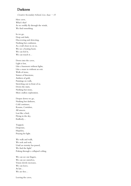## Darkness

Creative Secondary School, Lee, Isaac  $-15$ 

Here crew, What's that? As we swiftly fly through the winds, We find something.

In we go, Deep and dark, Discovering and detecting, Nothing but confusion. As a wall closes in on us, We see a beating heart, We can feel it, We can touch it…

Down into the caves, Light is lost, Like a basement without lights, Like a maze in without an exit. Walls of stone, Statues of limestone, Artifacts of gold, Paintings on walls, Stretching out in front of us. Down the stairs, Nothing but stone, More endless exploration.

Deeper down we go, Nothing but darkness, Cold continues, Rooms, Corridors, All unseen. Lost like a bird, Flying in the sky, Endlessly…

Trapped, Desperate, Hopeless, Praying for light.

We walk and walk, We seek and seek, Until an eternity has passed, We find the light! Poking through a collapsed ceiling,

We can see our fingers, We can see ourselves, Vision slowly increases, We can leave, At last… We are free…

Leaving the caves,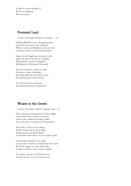A sight we never thought of, We never imagined, We'd see again…

# Promised Land

Creative Secondary School, Lee, Jeasper  $-15$ 

Hulking Buddhas in jaw-dropping grottos Located in the heart of the mainland Where tourists and Buddhists come say hello Leading everyone to their promised land

Immense and staggering carvings on rocks Marks the spread of hope in a religion Widening from India to Bangkok Building up a following of thousands

Start of civilization carved on walls Forming a colony of disciples Rescuing adherents from devil's maw Saving humanity with his arrival

The arrival of peace and unity Forming harmonious communities

# Winter in the Grotto

Creative Secondary School, Tessariol, Asia - 15

Now, instead of watching the Northern lights I find myself back, where it all started Tired of the number of sleepless nights Ever since then, I've kept my heart guarded

The grotto, I look up and admire All the history and secrets it holds All the prayers and all the desires You'll find a stone heart, not one made of gold

I'm grateful I decided not to stalk… because that would have pushed him away more I'll see him again, once the statue talks It's fine, I still have more years to explore

Feels quite cathartic, I feel kind of free At least I know, it was not meant to be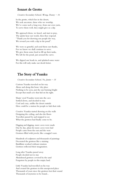## Sonnet de Grotto

Creative Secondary School, Wong, Danny - 16

In the grotto, which lies in the desert, We seek ancestors, those who we worship. We've come such a long way, from our own yurts, To serve them well, they might give us a dip.

We approach them, we kneel, and start to pray, The spirits hear our words, then they respond. "Thank you for showing our people the way, We reward you with a dip in the pond".

We were so grateful, and send them our thanks, For we know we shall continue to serve. We give them some food to fill up their tanks, We left for the pond, just around the curve.

We dipped our heads in, and splashed some water For this will only make our deeds better.

# The Story of Yuanku

Creative Secondary School, Yu, Justin  $-15$ 

Curious Yuanku traveled on his way Alone and along this bone-dry place Nothing to be seen, just the sun burning bright Except that small cave that hid on his right.

Sharp-eyed Yuanku went into the cave Settled down, and decided to stay Cool and cozy, unlike the desert outside Here could be a station for people to halt their ride.

Creative Yuanku started drawing on the walls Designing the ceiling, and also the floors Travellers passed by and stopped to see What the grottoes had finally come to be.

Digging and digging, more caves were made Day by day, plans for more caves were laid People came from the east and the west Grottoes filled with jewels, like a magpie's nest.

Hundreds of sculptures and thousands of paintings Decorated the grottoes like a staining Buddhists worked without rotation Grottoes reflected their imagination.

Long after Yuanku passed away People decided not to stay Abandoned grottoes covered by the sand Forgotten by people in this empty land.

Little Yuanku had travelled on his way And created the grottoes in this unexpected place Thousands of years since the grottoes lost their sound Thousands of mysteries to be found...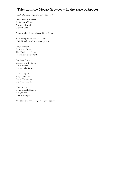# Tales from the Mogao Grottoes - In the Place of Apogee

ESF Island School, Babu, Nivedha - 14

In the place of Apogee Set in East of Stone A vision Glowed Glowed Gold

A thousand of the Awakened One's Shone

A man Began his odysseys all alone Until his sight was known and grown

Enlightenment Awakened Ascent The Truth of all Fours Where stories were told

One Soul Forever Changes like the River Life is Endless It is you who Possess

Do not Expect Help the Lifeless Prince Mahasattva Did it for Himself

Honesty, Sivi Commendable Honour Filial, Syama Love is Stronger

The Stories which brought Apogee Together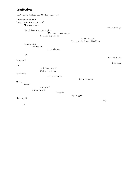# Perfection

| ESF Sha Tin College, Lai, Hei Yiu Justin - 14                                                                                                                                          |                                                      |                   |
|----------------------------------------------------------------------------------------------------------------------------------------------------------------------------------------|------------------------------------------------------|-------------------|
| "I march towards death<br>though I wish it were my own"<br>Ah perfection<br>I heard there was a special place<br>Where men could escape<br>the prison of perfection<br>I am the artist | A library of walls<br>The cave of a thousand Buddhas | But is it really? |
| I am the art                                                                                                                                                                           |                                                      |                   |
| I am beauty.                                                                                                                                                                           |                                                      |                   |
| But                                                                                                                                                                                    |                                                      | I am worthless    |
| I am pitiful                                                                                                                                                                           |                                                      | I am trash        |
| No                                                                                                                                                                                     |                                                      |                   |
| I will show them all<br>Wicked and divine                                                                                                                                              |                                                      |                   |
| I am infinite<br>My art is infinite                                                                                                                                                    |                                                      |                   |
| My?<br>My art?<br>Is it my art?                                                                                                                                                        | My art is infinite                                   |                   |
| Is it not just?<br>My pain?                                                                                                                                                            | My struggles?                                        |                   |
| My my life                                                                                                                                                                             |                                                      | My                |
| $\dots$ ?                                                                                                                                                                              |                                                      |                   |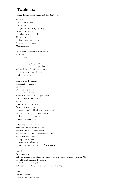## Timelessness

Heep Yunn School, Chan, Lok Yan Betty  $-17$ 

An oasis in the desert cathay, chanced upon by a pious monk on a pilgrimage. Its sweet spring waters quenched the traveler's thirst. There I emerged: golden, glistening, glorious "Maitreya!" he gasped, "Splendiferous."

Into a scarp he carved such cave with ascending levels

of

prickly-red

 porches and lined the walls with works of art that imitate my proportions to replicate his vision.

Soon arrived the devout who sought to construct a place divine a beehive of grottoes for worship and meditation. A site christened — the Mogao Caves! None higher; none superior. There I sat: cross-ankled on a throne flanked by russet lions my copper-sculpted body round and rotund bare except for a clay-moulded skirt, my lotus-bud eyes bespoke serenity and solemnity.

Before me came men after men corrupted sinners, saintlike souls unlettered folk, scholastic savants. Their bodies are a miniature clone of mine. Their faces are sunflowers seeking nourishment in every nook and cranny under every eave, every niche of the caverns

#### to attain

Enlightenment elaborate murals of Buddha's renounce of the temptations offered by demon Mara his right hand caressing the ground the 'earth-touching' gesture calling on the Earth Goddess to affirm his awakening

to learn self-sacrifice scrolls in the Library Cave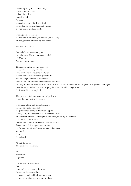recounting King Sivi's bloody thigh in the talons of a hawk in lieu of the dove to understand Samsara the endless cycle of birth and death personified by sentient beings of Heaven erected out of mud and reeds.

Worshippers pored over the vast canvas of murals, sculptures, Jataka Tales, an amalgamation of teachings and virtues

And then they leave.

Bodies light with cravings gone eyes illuminated by the incandescent light of Wisdom And then more came.

There, deep in the caves, I observed: the dawn of the Tang Empire. I was the heart of a route to the West; the axis merchants on camels spun around. The teachings and virtues whispered from the still lips of mine, the silent scrolls of time to a pilgrim then his wife and then a merchant and then a marketplace for people of foreign skin and tongue. I felt the earth rumble, a breeze carrying the scent of freshly-dug soil the Mogao Caves multiplied.

The presence of deities was more palpable than ever. It was the calm before the storm.

It presaged a long and trying time, and there, I helplessly witnessed: the persecution of my faithful worshippers. A fuse, lit by the Emperor, that set our faith aflame an accusation of social and religious disruption, raised by the dubious, that almost left us in ruins. Our monks and nuns stripped of their ordination forced into laylife our generous patrons confiscated of their wealth our shrines and temples abolished then demolished.

All but the caves. The caves were forsaken.

And eventually forgotten.

For what felt like centuries I sat cross-ankled on a cracked throne flanked by discoloured lions my copper-sculpted body tainted green no longer bare but clad in a layer of dust.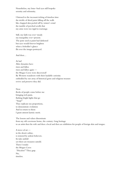Nonetheless, my lotus-bud eyes still bespoke serenity and solemnity.

I listened to the incessant ticking of timeless time the trickle of dried paint falling off the walls like chapped skin peeled off by winter's wind the tumble of perched scrolls that my arms were too rigid to rearrange.

Still, my faith was ever-steady my tranquility ever-present. The paste used as paint had darkened but eyes would forever brighten when a beholder's glance flit over the images portrayed.

And then…

At last! After dynasties have risen and fallen risen and fallen again the Mogao Caves were discovered! By Western wanderers with their laudable curiosity enthralled by our array of historical gems and religious treasure revive and preserve they did.

Now flocks of people come before me bringing rich paint, flashing bright lights that go "Snap!" They replicate my proportions, to demonstrate evolution And in return to them I grant utmost karmic merit.

The lessons and values disseminate from my old cavernous home, the century-long heritage to an artist then his wife and then a local and then an exhibition for people of foreign skin and tongue.

A trove of art in the desert cathay, is restored by ardent believers. Its tales unfold yet there are treasures untold. There I reside: the Mogao Caves "Priceless!" They gasp. No, timeless.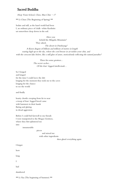## Sacred Buddha

Heep Yunn School, Chen, Man Chin - 17

\*\* Li Chun (The Beginning of Spring) \*\*

Sedate and still, as the hazel world had been I, an ordinary piece of chalk-white Kaolinite sat somewhere deep down in the soil.

 Have you beheld the Mingsha Mountain? They asked, The desert in Dunhuang? A flaxen dragon of billions and trillions of metres in length soaring high up to the sky, where the cool breeze in air tickles your chin, and with the crescent lake below, like a still glass of azure, meticulously reflecting the natural paradise?

> There lies some grottoes… The secret caches… Of the four-legged intellectuals…

So I longed and longed for the time I could leave the dirt longing for the moment they took me to the caves longing for the chance to see the world

and finally

hearty chortle creeping from far to near a troop of four-legged breed came with hammers in their hands flaring and glaring in dread aggression

Before I could bid farewell to my friends I were transported to the Mogao Grottoes, where they first splintered me into

innumerable

 pieces and mixed me with other ingredients

then glued everything again

| I forgot  |  |
|-----------|--|
| how       |  |
| long      |  |
| I         |  |
| had       |  |
| slumbered |  |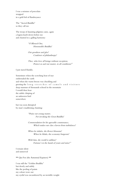I was a mixture of porcelain wrapped in a gold foil of flamboyance

The "Sacred Buddha" so they call me

The troop of daunting pilgrims came, again a legion knelt down before me and chanted in a galling harmony:

> "O Blessed One, Honourable Buddha!

Our goodness and glee! Conferrer of philanthropy!

Thee, who love all beings without exception, Protect us and our master, in all conditions!"

I just stared blankly.

Sometimes when the scorching heat of rays enshrouded the earth and when the warm breeze was chuckling and greeting the long stretches of camels and visitors deep murmur of thousands echoed in the mountain I would then hear the subtle chirping of an unknown bird somewhere

but was soon disrupted by man's maddening chanting:

> "Praise our young master, For invoking the Great Buddha!

Commendation for his agreeable countenance, Which makes our clan a haven from turbulence!

When he inhales, the flower blossoms! When he blinks, the economy burgeons!

With him, the world is sublime! Fortune's in the hands of yours and mine!"

I remain silent and unmoved

\*\* Qiu Fen (the Autumnal Equinox) \*\*

I was still the "Golden Buddha" but slowly and subtly like the peeling of paints my colour wore out my eyelid was encumbered by an invisible weight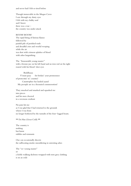and never had I felt so tired before

Though immovable in the Mogao Caves I saw through my dusty eyes I felt with my chalky soul and I knew there was a war – the country was under attack

#### BOOM! BOOM!

The rapid firing of furious flames followed by painful pile of perished souls and dreadful cries and woeful weeping while the air was shot with crimson splashes of blood with ashes languishing

The "honourable young master" with a bronze jue on his left hand and an iron rod on his right roared with his blood-shot eyes

#### Buddhaaaa

Y'must paay for brekin' your promoussee of protecttin' m' country! Catastrophee has landed aaand My peeople are in a freenzied commoootion!

They smacked and smashed and squashed me into pieces and his men cheered in a ravenous exultant

No pain hit me as I was glad that I had returned to the grounds where I was from no longer bothered by the tumults of the four-legged beasts.

#### \*\* Da Han (Great Cold) \*\*

The country is nothing but burnt rubbles and remnants

One can occasionally discern the suffocating smoke smouldering in unresting ashes

The "ex-young master" or a feeble walking skeleton wrapped with torn grey clothing is on an exile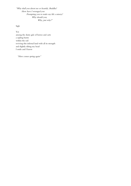"Why shall you detest me so heartily, Buddha? How have I wronged you Prompting you to make my life a misery? Why should you, Why, just why?"

Sigh

Yet

among the dusty gale of horses and carts a sapling bursts within the soil reviving this infernal land with all its strength and slightly tilting my head I smile and I know

"Here comes spring again"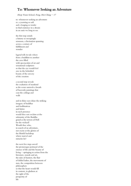## To: Whomever Seeking an Adventure

Heep Yunn School, Fong, Hoi Ching  $-17$ 

to: whomever seeking an adventure re: a yearning so soft and a longing so tender to find existence in a dream in an oasis we long to see

the first step entails a history so sweepingly sensuous, a fascination spanning across a century of fulfillment and wonder

legend tells its tale where from a buddhist to another the cave filled with spectaculars of art and sensational sculptures so that the eye would feel awe in the beholded beauty of the sorcery of the creation

a second step reveals the exaltation of mankind as the scene unravels a breath of heavenly paintings that coat the ceilings and walls

and in thine eyes shine the striking imagery of buddhas and bodhisattvas and fairies in such presence would thee not exclaim at the solemnity of the Buddha grand as the terrors of Hell for the wicked? Would thee who, in search of an adventure, not excite at the glories of the blissful backdrop where marvel and miracles lie?

the next few steps unveil the picturesque portrayal of the essence of life and the beauty of living - springing to action from the literature, murals and art, the tales of hunters, the flair of dolled ladies, the movements of stars, the competition between philosophers so that the heart would fill in content, in gladness at the sight of the prosperity of life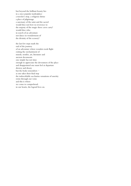but beyond the brilliant beauty lies in a once popular marketplace a traveler's stop, a religious shrine a place of pilgrimage a sanctuary of the saint and the sacred would thee not bow in reverence to the majesty of the magic these caves carry? would thee who in search of an adventure not dance in wonderment of the divinity of the scenery?

the last few steps mark the end of the journey of an adventure where wonders took flight exiting the enchantment of murals, textiles, art, literature and ancient documents one simply has not time enough to appreciate the devoutness of the place and disappointed one must feel at departure drowsy and dreary but the body remembers as one takes their final step the indescribable saccharine sensations of sanctity swim through our veins and this is where we come to comprehend: in our hearts, the legend lives on.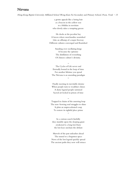## Nirvana

Hong Kong Baptist University Affiliated School Wong Kam Fai Secondary and Primary School, Poon, Yeuk - 15

a grotto appeals like a luring bait as a beacon in the yellow seas to a bhikku in novitiate who slowly takes a tempting greeze

He docks at the peculiar bay A haven where merchandise nourished Like an offramp of a major freeway Different cultures converged and flourished

> Standing over oscillating kings It became the epitome The distillation of everything Of chinese culture's divinity.

> > ~

The Cycles of Life never end Eternally bound in the loop of time For another lifetime you spend The Nirvana is an unending paradigm

~

Finally meeting its inevitable demise When people turn to wealthier climes A dusty legend people surmised Sacred art locked in prison of time

~

Trapped in chains of the unerring loop The non-bowing soul struggles to shine It plots an unprecedented coup To restore its rightful place prime

~

In a curious search fatefully they stumble upon the sleeping giant awakened is a long lost friary the lost keys unchain the defiant

Marvels of the past unleashes ahead The tunnel to a forgotten space News of the lost legend quickly spread The ancient paths they now will retrace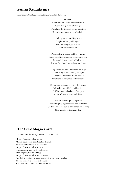## Peerless Reminiscence

International College Hong Kong, Senaratne, Sera  $-15$ 

Hidden – Reap with millennia of ancient truth Carved of galleries of thought Travelling day through night, forgotten Beneath sabulous towers of isolation

> Nothing above, nothing below Caught within prickling wild Dark flowing edges of earth Scarlet-seasoned tan

Resplendent treasures held deep inside Lotus enlightening among unassuming land Surrounded by a hexad of followers Soaring fractals of emerald and sundown

Crepuscule and new silhouettes emerge Unblinking in bewildering last light Mirage of a thousand monks besides Emulsions of turquoise and mandarin

Countless thresholds awaiting their reveal Colossal figure of belief laid to sleep Griffin's legs and echoes of the past Clads of royal armour and shield

Future, present, past altogether Bound tightly together with silk and scroll Underneath those dunes untouched for so long Now rebirth to teach another.

# The Great Mogao Caves

Marymount Secondary School, To, Etta  $-16$ 

Mogao Caves are what we see — Murals, Sculptures, the Buddhist Temples — Ancient Manuscripts, Rare Textiles — Mogao Caves are what we hear — Roosters crowing, Crickets chirping — Birds singing, wind howling — Mogao Caves are what we know — But their most inner mysterious side is yet to be unravelled — The interminable source of treasures Shall satisfy our thirst for the unexplored.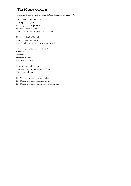# The Mogao Grottoes

Shanghai Singapore International School, Shao, Hsiang Han  $-15$ 

Not coquettish, not desolate but simple yet vigorous. The Mogao Caves speaks of a thousand years of wind and sand, holding the weight of history for centuries.

The rise and fall of dynasties, the reincarnation of life and the survival of a species is written on the walls.

In the Mogao Grottoes, you relive the bitterness, sweetness, brilliance and the rage of civilizations.

Sights, sounds and feelings intertwine, disperse and fly away telling of an immortal myth.

The Mogao Grottoes, a meaningful story. The Mogao Grottoes, an ancient tune. The Mogao Grottoes, a myth that will never die.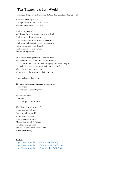# The Tunnel to a Lost World

Shanghai Singapore International School, Shirley, Katija Isabella  $-15$ 

A passage taken by many, through valleys, mountains and rivers. The Dachuan River  $-$  an oasis.

Rich with potential and shaded from the coarse cut-throat land. Rich with handcrafted caves filled with sculptures as strong as its creators. Rich with traditions of passers-by Maitreya sitting poised and cross-legged. Rich with history and culture and full of expression.

An elevated ceiling withstands copious time. The western wall cradles three sacred artefacts. Characters on the walls are the missing key to unlock the past; they talk of virtues as they seek luck in their next life. The cells are homes to the monks whose gods and myths unveil before them.

Route's change, dust settles.

The once hustling and bustling Mogao caves are forgotten, reduced to dusty legends.

Adored creations, crumble after years of isolation.

The 'Tunnel to a lost world' boasts words of scholars from around the world who uncover secrets, once cemented in time. Murals that engulf 700 caves, the oldest printed book and hidden sculptures come to life in Literature today.

#### Sources

<https://www.youtube.com/watch?v=R29A0GyLYlE> <https://www.youtube.com/watch?v=aHF5QCb-mKY> <https://www.youtube.com/watch?v=Rq43z8izEnQ>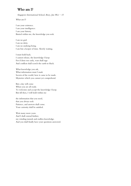# Who am I?

Singapore International School, Boey, Jun Wei  $-15$ 

What am I?

I am your existence. I am your intelligence. I am your history. Buried within me, the knowledge you seek.

I am no god. I am no deity. I am no undying being. I am but a keeper of time. Slowly waiting.

I must hold back. I cannot release, the knowledge I keep For if done too early, wars shall rage And conflicts shall scorch the earth to black.

What knowledge you ask, What information must I mask Secrets of the world, how it came to be made. Mysteries which you cannot yet comprehend.

But a day will come When you are all ready. To welcome and accept the knowledge I keep. But till then, I will hold within me

the information that you need, that you always seek Patience, and answers shall come. Your curiosity shall be satisfied.

Wait many more years. And I shall extend further, my winding tunnels and endless knowledge. And you shall finally have your questions answered.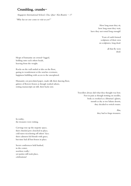# Crumbling, crumbs-

Singapore International School, Chu, Qiao-Xin Beatrix - 17

"Why has no one come to visit us yet?"

How long must they sit, how long must they wait, have they not rested long enough?

> Years of earth formed sculptures of their own on sculptures, long dead.

> > all that fly were dead.

Heaps of humanity sat crossed-legged, holding onto each others heads, heaving from the weight.

Rocks on the wall smiled at tiles on the floor, gazing in wonderment at the notches evermore, happiness bubbling with access to the unexplored.

Humanity cut percolated paper, made silk their dancing floor, galores of flowers frozen as though washed ashore, resting manuscripts sat still, their backs sore.

> Travellers always did what they thought was best. Feet in pain as though trotting on needles, body as crooked as a librarian's glasses, mouth as dry as ten Sahara deserts, they decided to switch routes.

> > Alas, they had to forgo treasures.

In reality, the treasures were rotting.

Carvings rose up the majestic space, their chiseled jaws clenched in place, cold stares ricocheting off others' face; their calmness fed friends with grace, but time had all but frozen in place.

Secret conferences held hushed, in the center, nowhere reallyyet parties still took place, celebrations!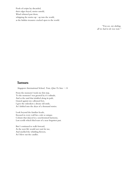Pools of scripts lay discarded, their edges frayed, stories untold, Wind whizzed past them, whipping the stories  $up-$  up into the world, as the hidden treasures cracked open to the world.

> "You see, my darling, all we had to do was wait."

### Samsara

Singapore International School, Tom, Qian Ya Sara - 14

From the moment I took my first step, To the moment I was greeted by it's solitude, And as the sand that trinkled along its path, Grazed against my calloused feet, I gave the onlookers a dreary old smile, As I drifted into the abyss of a thousand stories.

Look beyond the familiar facade, Encased in every wall lies a tale so unique. Colours that danced in a synchronised harmony, Lost scrolls which bled tears of a near forgotten past.

But I continued to walk forward, As the next life would not wait for me, And smelled the whittling flowers, As I blew out the candles.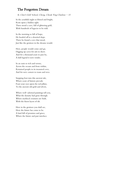# The Forgotten Dream

St. Clare's Girls' School, Cheng, Cheuk Ying Charlene - 15

In the youthful night so blissed and bright, Rests upon a hidden sight. There stood a cave, full of glittering gold, With hundreds of legacies to be told.

In the morning so full of hope, He headed off to a deserted slope. There he found a cave that stood, Just like the grottoes in the dreams would.

Here, people would come and go, Digging up caves for arts to show. And for a thousand years to pass by, A dull legend it now resides.

In an oasis so rich and serene, Across the oceans and from within, Returned people to its treasured cove, And for new comers to roam and rove.

Stepping foot into this ancient tale, Where years of history prevails. Feast your eyes upon the red pillars, To the ancient old gold and silvers,

Where well-adorned paintings tell you, What the dynasty had gone through. Where mythical creatures are built, With the finest layers of silt.

Here in the grottoes you shall see, How the future has come to be. A land full of promises and grace, Where the future and past interlace.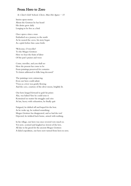## From Hero to Zero

St. Clare's Girls' School, Chow, Man Hei Agnes - 15

Stories upon stories About the Grottoes he has heard His desire grew daily Longing to be free as a bird

Once upon a time a man Embarked on a journey to the north As he neared the caves, his story began As a spirit before him came forth:

'Welcome, O traveller! To the Mogao Grottoes Here we bear the fruits of labor Of the past's praises and woes

Come, traveller, and you shall see How the present has come to be From paintings preserved for centuries To letters addressed to folks long deceased.'

The paintings were entrancing. Even our hero could admit 'Twas as a river was gently flowing And the cave, courtesy of the silver moon, brightly lit.

Our hero lunged forward to grab his prizes Alas, was halted 'fore he could seize it Restrained no matter his struggles and cries At last, heavy with exhaustion, he finally quit

Fatigued, he drifted off and hoped for the best. As he woke up, he realized something: Mogao Grottoes has disappeared, and so had the rest! Dejected, he trekked back home, armed with nothing.

In his village, our hero was once revered very much so. Yet now, scorned and laughed at, lowest of the low, All due to his greed for the ancient Mogao Grottoes A failed expedition, our hero now turned from hero to zero.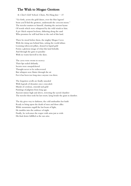# The Wish to Mogao Grottoes

#### St. Clare's Girls' School, Chum, Pui Hang Jane - 15

"Go forth, across the gold dunes, over the blue lagoon! Soon you'll find the grottoes, underneath the crescent moon." The traveler mutters to himself, chanting the ancient hymn Of words which were whispered by the wild winds to him. A jet-black serpent beckons, slithering along the sand Who promises he will lead him to the end of this land.

There he stood before them, the mighty Mogao Caves With the rising sun behind him, setting the world ablaze. Looming rubescent pillars, doused in liquid gold Forms a glorious image of what this land beholds. And through the gates to paradise With no warm farewell to the skies.

The caves were sworn to secrecy Their lips sealed defiantly. Secrets were ensepulchered Thought never to be rediscovered. But whispers now flutter through the air For it has been too long since anyone was there.

The forgotten scrolls are finally unsealed With legends of dynasties once concealed. Murals of cerulean, emerald and gold Paintings of pilgrims from long ago. Ancient statues high and above, towering the sacred chamber The traveler then took his last resort, lying beside the giant in slumber.

The sky gives way to darkness, the cold unsheathes her knife Ready to bring upon the death of men and those alike. While mountains engulf the last beam of light, He tumbles into the embrace of night. Finally, he welcomes the reaper with arms just as wide His final desire fulfilled as the sun arise.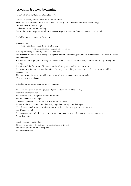# Rebirth & a new beginning

St. Paul's Convent School, Chan, Zoe - 16

Carved sculptures, unread literature, sacred paintings, all are displayed blatantly in the cave, showing the story of the pilgrims, culture and everything. But he knows, it's not enough. He knows, he has to do something. And so, he carries the petals with him whenever he goes in the cave, leaving a scented trail behind.

Daffodils, have a connotation for rebirth.

Years carry on,

The birds chirp before the crack of dawn,

The sun descends its angelic glow upon us.

Nothing has changed, nothing, except for the cave.

She watched the first roots of spring sprung from the soil, how they grow, but fell at the mercy of whirling machines and buzz saws;

She listened to the symphony merely conducted by crickets of the summer heat, and lived vicariously through the melody;

She witnessed the first leaf of fall tremble in the whirling wind and landed next to it;

She bared the shivering cold wind of winter that wiped everything out and replaced them with snow and hail. Years carry on,

The cave was rebirthed again, with a new layer of tough minerals covering its walls,

It's auriferous, magnificent.

Daffodils, have a connotation for new beginnings.

The Cave was once filled with joyous pilgrims, and she enjoyed their visits,

until they abandoned her.

She learnt to bare through the dullness in the day,

and the loneliness in the night,

little does she know; her name still echoes in the city nearby.

Parents, told their children about her every night before they close their eyes,

Her tales and wondrous treasures inside, and sometimes, she even appears in her dreams.

Yet, it's not enough.

She wants witnesses, physical contacts, just someone to come in and discover her beauty, once again. A new beginning.

Finally, scholars wandered in,

Their eyes glowed at the sight, not at the paintings or poems,

But bushes of daffodils filled the place.

The cave is restored.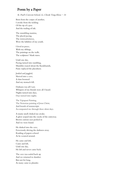# Poem by a Paper

St. Paul's Convent School, Li, Cheuk Tung Elena - 16

Born from the corpse of another, I awoke from the tickling Of the tip of a pen And the trailing of ink.

The mumbling mantras, The placid pacing, The tintinnabulation, Were the lullabies of my youth.

I lived in peace, With my siblings, The paintings on the walls, The sculptures' blank stares.

Until one day, Pacing turned into rumbling, Mumbles roared about the Karakhanids, Panic replaced the placidness.

Jostled and juggled, Shoved into a cave, A slam boomed And my stomach fell.

Darkness was all I saw. Whispers of my friends were all I heard. Nights turned into days, Days turned into nights.

The Vajrapani Painting, The Nestorian painting of Jesus Christ, And hoards of manuscripts Accompanied me through these silent days.

A musty smell choked me awake. A glow seeped into the cracks of the entryway. Brown curious eyes peeked in And we were found.

He slinked into the cave, Ferociously driving the darkness away. Rustling of papers echoed As he scoured around.

He came and left, Came and left, Until one day, He left and never came back.

The cave was sealed back up And we returned to slumber. But not for long, As many came to plunder.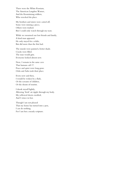There were the White Russians, The American Langdon Warner, And the Kuomintang soldiers, Who wrecked the place.

My brothers and sisters were carted off, Some were missing a piece, Others were trashed. But I could only watch through my tears.

While we mourned our lost friends and family, A kind man appeared. He only stayed for a while, But did more than the first had.

The murals were painted a better shade. Cracks were filled. The man would grin. Everyone looked almost new.

Now, I remain in the same cave That humans call 17. Peace and quiet were long gone. Oohs and Aahs took their place.

Every now and then, I would be woken by a flash, Or the screams of children, Or the shouts of tourists.

I shook myself lightly, Allowing 'fresh' air ripple through my body. My yellowed sheets crackled, And I wince in fear.

Though I am not pleased That my home has turned into a pen, I can do nothing, For I am but a measly scripture.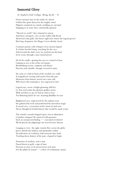# Immortal Glory

St. Stephen's Girls' College, Wong, Ka  $Ki - 16$ 

Down memory lane in the midst of a desert Golden fine grain danced in the mighty wind. Pilgrims wandered on camels, trodding on vast land Stopping at an oasis, they contentedly grinned.

"Shovels to work!" they chanted in unison And there emerged a cave on the endless Silk Road Showered with gold, who knew right here where the legend grows? But long-forgotten, the Mogao Caves silently closed

Centuries passed, with whispers of an ancient legend A scholar traveled along, searching for the cave And towards the dark caves, he reached out his hand In he went, through a time tunnel paved

He lit his candle, opening his eyes to a tunnel of time Gasping in awe at the riches of remains Breathtaking secrets, scriptures and rhyme Precious and valuable, though covered in stains

He came to a halt in front of the eroded cave walls A magnificent carving with stories from the past Memories from history unveil once man calls Who knew this masterpiece was engraved to last?

Legend says, across a bright gleaming cliff face Le Zun trod under the glorious golden sunset With nowhere to go, he had no trail to trace Yet fluttering fairies he saw, beaming Buddhas he met

Brightened eyes, empowered by the radiant scene He gathered his tools and performed his marvelous magic A sacred cave, a recreation of the vision he had seen Never thought he'd built history that would be made iconic

The scholar's mouth dropped open, lost in admiration Countless antiques! He rejoiced with greatness Such an unexpected finding -- concealed revelation! Word spread; the pilgrimage site soon became famous

Longing to view the sight, tourists flew across the globe Just to absorb the holiness and spirituality within An indication of evolution with memoirs they hold Tracking down history of the past, a legend to begin

Possession of wisdom, such a trait Passed down in gold, a sign of time Precious to man, to be preserved in such state For the pillars he found  $--$  a show of civilizations' prime